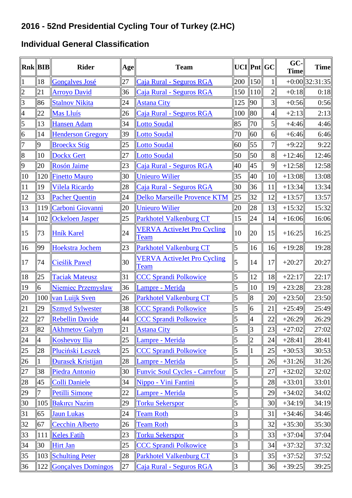#### **Individual General Classification**

|                | Rnk    BIB     | <b>Rider</b>             | Age | <b>Team</b>                                       |                |                 | $UCI$   Pnt  GC | GC-<br><b>Time</b> | <b>Time</b>        |
|----------------|----------------|--------------------------|-----|---------------------------------------------------|----------------|-----------------|-----------------|--------------------|--------------------|
| $\mathbf{1}$   | 18             | <b>Gonçalves José</b>    | 27  | Caja Rural - Seguros RGA                          | 200            | $\parallel$ 150 | 11              |                    | $+0:00$   32:31:35 |
| $\overline{c}$ | 21             | <b>Arroyo David</b>      | 36  | Caja Rural - Seguros RGA                          | 150            | 110             | $\overline{2}$  | $+0:18$            | 0:18               |
| 3              | 86             | <b>Stalnov Nikita</b>    | 24  | <b>Astana City</b>                                | 125            | 90              | 3 <sup>1</sup>  | $+0:56$            | 0:56               |
| $\overline{4}$ | 22             | Mas Lluís                | 26  | Caja Rural - Seguros RGA                          | 100            | 80              | $\vert 4 \vert$ | $+2:13$            | 2:13               |
| 5              | 13             | <b>Hansen Adam</b>       | 34  | <b>Lotto Soudal</b>                               | 85             | 70              | $\vert$         | $+4:46$            | 4:46               |
| $\overline{6}$ | 14             | <b>Henderson Gregory</b> | 39  | Lotto Soudal                                      | 70             | 60              | 6               | $+6:46$            | 6:46               |
| $\overline{7}$ | 9              | <b>Broeckx Stig</b>      | 25  | Lotto Soudal                                      | 60             | 55              | 7 <sup>1</sup>  | $+9:22$            | 9:22               |
| 8              | 10             | <b>Dockx Gert</b>        | 27  | <b>Lotto Soudal</b>                               | 50             | 50              | 8               | $+12:46$           | 12:46              |
| $\overline{9}$ | 20             | Rosón Jaime              | 23  | Caja Rural - Seguros RGA                          | 40             | 45              | 9               | $+12:58$           | 12:58              |
| 10             |                | 120 Finetto Mauro        | 30  | <b>Unieuro Wilier</b>                             | 35             | 40              | 10              | $+13:08$           | 13:08              |
| 11             | 19             | Vilela Ricardo           | 28  | Caja Rural - Seguros RGA                          | 30             | 36              | 11              | $+13:34$           | 13:34              |
| 12             | 33             | <b>Pacher Quentin</b>    | 24  | Delko Marseille Provence KTM                      | 25             | 32              | 12              | $+13:57$           | 13:57              |
| 13             |                | 119 Carboni Giovanni     | 20  | <b>Unieuro Wilier</b>                             | 20             | 28              | 13              | $+15:32$           | 15:32              |
| 14             | 102            | <b>Ockeloen Jasper</b>   | 25  | <b>Parkhotel Valkenburg CT</b>                    | 15             | 24              | 14              | $+16:06$           | 16:06              |
| 15             | 73             | <b>Hník Karel</b>        | 24  | <b>VERVA ActiveJet Pro Cycling</b><br>Team        | 10             | 20              | 15              | $+16:25$           | 16:25              |
| 16             | 99             | <b>Hoekstra Jochem</b>   | 23  | <b>Parkhotel Valkenburg CT</b>                    | 5              | 16              | 16              | $+19:28$           | 19:28              |
| 17             | 74             | <b>Cieślik Paweł</b>     | 30  | <b>VERVA ActiveJet Pro Cycling</b><br><b>Team</b> | $\overline{5}$ | 14              | 17              | $+20:27$           | 20:27              |
| 18             | 25             | <b>Taciak Mateusz</b>    | 31  | <b>CCC Sprandi Polkowice</b>                      | 5              | 12              | 18              | $+22:17$           | 22:17              |
| 19             | 6              | Niemiec Przemysław       | 36  | Lampre - Merida                                   | 5              | 10              | 19              | $+23:28$           | 23:28              |
| 20             |                | 100 van Luijk Sven       | 26  | <b>Parkhotel Valkenburg CT</b>                    | 5              | 8               | 20              | $+23:50$           | 23:50              |
| 21             | 29             | <b>Szmyd Sylwester</b>   | 38  | <b>CCC Sprandi Polkowice</b>                      | 5              | 6               | 21              | $+25:49$           | 25:49              |
| 22             | 27             | <b>Rebellin Davide</b>   | 44  | <b>CCC Sprandi Polkowice</b>                      | 5              | 4               | 22              | $+26:29$           | 26:29              |
| 23             | 82             | <b>Akhmetov Galym</b>    | 21  | <b>Astana City</b>                                | 5              | $\overline{3}$  | 23              | $+27:02$           | 27:02              |
| 24             | $\overline{4}$ | <b>Koshevoy Ilia</b>     | 25  | Lampre - Merida                                   | 5              | $\overline{2}$  | 24              | $+28:41$           | 28:41              |
| 25             | 28             | Pluciński Leszek         | 25  | <b>CCC Sprandi Polkowice</b>                      | 5              |                 | 25              | $+30:53$           | 30:53              |
| 26             |                | <b>Durasek Kristijan</b> | 28  | Lampre - Merida                                   | 5              |                 | 26              | $+31:26$           | 31:26              |
| 27             | 38             | <b>Piedra Antonio</b>    | 30  | <b>Funvic Soul Cycles - Carrefour</b>             | 5              |                 | 27              | $+32:02$           | 32:02              |
| 28             | 45             | <b>Colli Daniele</b>     | 34  | Nippo - Vini Fantini                              | 5              |                 | 28              | $+33:01$           | 33:01              |
| 29             | 7              | <b>Petilli Simone</b>    | 22  | Lampre - Merida                                   | 5              |                 | 29              | $+34:02$           | 34:02              |
| 30             | 105            | <b>Bakırcı Nazim</b>     | 29  | <b>Torku Sekerspor</b>                            | 5              |                 | 30              | $+34:19$           | 34:19              |
| 31             | 65             | <b>Jaun Lukas</b>        | 24  | <b>Team Roth</b>                                  | 3              |                 | 31              | $+34:46$           | 34:46              |
| 32             | 67             | <b>Cecchin Alberto</b>   | 26  | <b>Team Roth</b>                                  | 3              |                 | 32              | $+35:30$           | 35:30              |
| 33             | 111            | <b>Keles Fatih</b>       | 23  | <b>Torku Sekerspor</b>                            | 3              |                 | 33              | $+37:04$           | 37:04              |
| 34             | 30             | <b>Hirt Jan</b>          | 25  | <b>CCC Sprandi Polkowice</b>                      | 3              |                 | 34              | $+37:32$           | 37:32              |
| 35             |                | 103 Schulting Peter      | 28  | <b>Parkhotel Valkenburg CT</b>                    | 3              |                 | 35              | $+37:52$           | 37:52              |
| 36             |                | 122 Gonçalves Domingos   | 27  | Caja Rural - Seguros RGA                          | $\overline{3}$ |                 | 36              | $+39:25$           | 39:25              |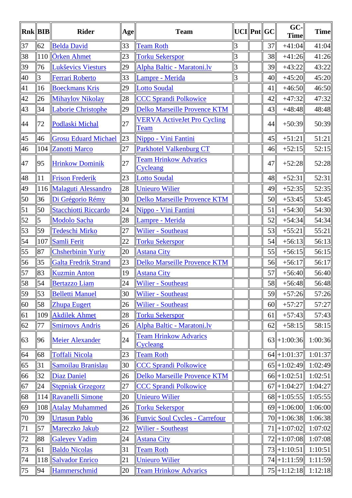|    | Rnk    BIB | <b>Rider</b>                | Age | <b>Team</b>                                       | $UCI$   Pnt  GC |    | GC-<br><b>Time</b> | <b>Time</b> |
|----|------------|-----------------------------|-----|---------------------------------------------------|-----------------|----|--------------------|-------------|
| 37 | 62         | <b>Belda David</b>          | 33  | <b>Team Roth</b>                                  | 3               | 37 | $+41:04$           | 41:04       |
| 38 |            | 110 Örken Ahmet             | 23  | <b>Torku Sekerspor</b>                            | 3               | 38 | $+41:26$           | 41:26       |
| 39 | 76         | <b>Lukševics Viesturs</b>   | 29  | Alpha Baltic - Maratoni.lv                        | 3               | 39 | $+43:22$           | 43:22       |
| 40 | 3          | <b>Ferrari Roberto</b>      | 33  | Lampre - Merida                                   | 3               | 40 | $+45:20$           | 45:20       |
| 41 | 16         | <b>Boeckmans Kris</b>       | 29  | <b>Lotto Soudal</b>                               |                 | 41 | $+46:50$           | 46:50       |
| 42 | 26         | <b>Mihaylov Nikolay</b>     | 28  | <b>CCC Sprandi Polkowice</b>                      |                 | 42 | $+47:32$           | 47:32       |
| 43 | 34         | <b>Laborie Christophe</b>   | 29  | <b>Delko Marseille Provence KTM</b>               |                 | 43 | $+48:48$           | 48:48       |
| 44 | 72         | Podlaski Michal             | 27  | <b>VERVA ActiveJet Pro Cycling</b><br><b>Team</b> |                 | 44 | $+50:39$           | 50:39       |
| 45 | 46         | <b>Grosu Eduard Michael</b> | 23  | Nippo - Vini Fantini                              |                 | 45 | $+51:21$           | 51:21       |
| 46 |            | 104 Zanotti Marco           | 27  | <b>Parkhotel Valkenburg CT</b>                    |                 | 46 | $+52:15$           | 52:15       |
| 47 | 95         | <b>Hrinkow Dominik</b>      | 27  | <b>Team Hrinkow Advarics</b><br>Cycleang          |                 | 47 | $+52:28$           | 52:28       |
| 48 | 11         | <b>Frison Frederik</b>      | 23  | <b>Lotto Soudal</b>                               |                 | 48 | $+52:31$           | 52:31       |
| 49 |            | 116 Malaguti Alessandro     | 28  | <b>Unieuro Wilier</b>                             |                 | 49 | $+52:35$           | 52:35       |
| 50 | 36         | Di Grégorio Rémy            | 30  | Delko Marseille Provence KTM                      |                 | 50 | $+53:45$           | 53:45       |
| 51 | 50         | <b>Stacchiotti Riccardo</b> | 24  | Nippo - Vini Fantini                              |                 | 51 | $+54:30$           | 54:30       |
| 52 | 5          | Modolo Sacha                | 28  | Lampre - Merida                                   |                 | 52 | $+54:34$           | 54:34       |
| 53 | 59         | <b>Tedeschi Mirko</b>       | 27  | <b>Wilier - Southeast</b>                         |                 | 53 | $+55:21$           | 55:21       |
| 54 | 107        | Samli Ferit                 | 22  | <b>Torku Sekerspor</b>                            |                 | 54 | $+56:13$           | 56:13       |
| 55 | 87         | <b>Chsherbinin Yuriy</b>    | 20  | <b>Astana City</b>                                |                 | 55 | $+56:15$           | 56:15       |
| 56 | 35         | <b>Galta Fredrik Strand</b> | 23  | Delko Marseille Provence KTM                      |                 | 56 | $+56:17$           | 56:17       |
| 57 | 83         | <b>Kuzmin Anton</b>         | 19  | <b>Astana City</b>                                |                 | 57 | $+56:40$           | 56:40       |
| 58 | 54         | <b>Bertazzo Liam</b>        | 24  | <b>Wilier - Southeast</b>                         |                 | 58 | $+56:48$           | 56:48       |
| 59 | 53         | <b>Belletti Manuel</b>      | 30  | <b>Wilier - Southeast</b>                         |                 | 59 | $+57:26$           | 57:26       |
| 60 | 58         | <b>Zhupa Eugert</b>         | 26  | <b>Wilier - Southeast</b>                         |                 | 60 | $+57:27$           | 57:27       |
| 61 | 109        | <b>Akdilek Ahmet</b>        | 28  | <b>Torku Sekerspor</b>                            |                 | 61 | $+57:43$           | 57:43       |
| 62 | 77         | <b>Smirnovs Andris</b>      | 26  | Alpha Baltic - Maratoni.lv                        |                 | 62 | $+58:15$           | 58:15       |
| 63 | 96         | <b>Meier Alexander</b>      | 24  | <b>Team Hrinkow Advarics</b><br>Cycleang          |                 |    | $63 + 1:00:36$     | 1:00:36     |
| 64 | 68         | <b>Toffali Nicola</b>       | 23  | <b>Team Roth</b>                                  |                 |    | $64$   +1:01:37    | 1:01:37     |
| 65 | 31         | Samoilau Branislau          | 30  | <b>CCC Sprandi Polkowice</b>                      |                 |    | $65$   +1:02:49    | 1:02:49     |
| 66 | 32         | <b>Diaz Daniel</b>          | 26  | Delko Marseille Provence KTM                      |                 |    | $66$   +1:02:51    | 1:02:51     |
| 67 | 24         | <b>Stepniak Grzegorz</b>    | 27  | <b>CCC Sprandi Polkowice</b>                      |                 |    | $67$   +1:04:27    | 1:04:27     |
| 68 | 114        | <b>Ravanelli Simone</b>     | 20  | <b>Unieuro Wilier</b>                             |                 |    | $68$   +1:05:55    | 1:05:55     |
| 69 | 108        | <b>Atalay Muhammed</b>      | 26  | <b>Torku Sekerspor</b>                            |                 |    | $69$   + 1:06:00   | 1:06:00     |
| 70 | 39         | <b>Urtasun Pablo</b>        | 36  | <b>Funvic Soul Cycles - Carrefour</b>             |                 |    | $70+1:06:38$       | 1:06:38     |
| 71 | 57         | Mareczko Jakub              | 22  | <b>Wilier - Southeast</b>                         |                 |    | $71$   +1:07:02    | 1:07:02     |
| 72 | 88         | <b>Galeyev Vadim</b>        | 24  | <b>Astana City</b>                                |                 |    | $72$   +1:07:08    | 1:07:08     |
| 73 | 61         | <b>Baldo Nicolas</b>        | 31  | <b>Team Roth</b>                                  |                 |    | $73$   +1:10:51    | 1:10:51     |
| 74 | 118        | <b>Salvador Enrico</b>      | 21  | <b>Unieuro Wilier</b>                             |                 |    | $74$   +1:11:59    | 1:11:59     |
| 75 | 94         | Hammerschmid                | 20  | <b>Team Hrinkow Advarics</b>                      |                 |    | $75$   +1:12:18    | 1:12:18     |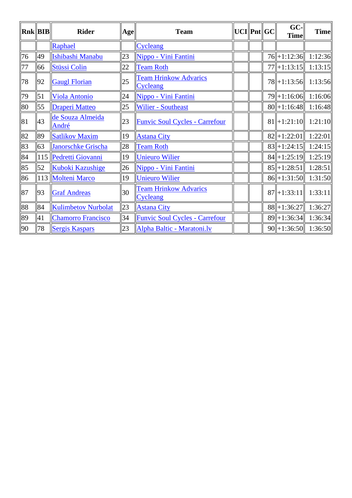|    | Rnk  BIB | <b>Rider</b>               | Age | <b>Team</b>                              |  | $UCI$   Pnt  GC | GC-<br><b>Time</b>                     | <b>Time</b> |
|----|----------|----------------------------|-----|------------------------------------------|--|-----------------|----------------------------------------|-------------|
|    |          | Raphael                    |     | Cycleang                                 |  |                 |                                        |             |
| 76 | 49       | Ishibashi Manabu           | 23  | Nippo - Vini Fantini                     |  |                 | 76 + 1:12:36 1:12:36                   |             |
| 77 | 66       | <b>Stüssi Colin</b>        | 22  | <b>Team Roth</b>                         |  |                 | $77$   +1:13:15                        | 1:13:15     |
| 78 | 92       | <b>Gaugl Florian</b>       | 25  | <b>Team Hrinkow Advarics</b><br>Cycleang |  |                 | 78 + 1:13:56 1:13:56                   |             |
| 79 | 51       | <b>Viola Antonio</b>       | 24  | Nippo - Vini Fantini                     |  |                 | $79$   +1:16:06   1:16:06              |             |
| 80 | 55       | <b>Draperi Matteo</b>      | 25  | <b>Wilier - Southeast</b>                |  |                 | $\ 80\ +1:16:48$ 1:16:48               |             |
| 81 | 43       | de Souza Almeida<br>André  | 23  | <b>Funvic Soul Cycles - Carrefour</b>    |  |                 | $81 \rightarrow 1:21:10 \quad 1:21:10$ |             |
| 82 | 89       | <b>Satlikov Maxim</b>      | 19  | <b>Astana City</b>                       |  |                 | $82$   +1:22:01                        | 1:22:01     |
| 83 | 63       | <b>Janorschke Grischa</b>  | 28  | <b>Team Roth</b>                         |  |                 | $83$   +1:24:15                        | 1:24:15     |
| 84 |          | 115 Pedretti Giovanni      | 19  | Unieuro Wilier                           |  |                 | $84$   +1:25:19   1:25:19              |             |
| 85 | 52       | Kuboki Kazushige           | 26  | Nippo - Vini Fantini                     |  |                 | $85$   +1:28:51                        | 1:28:51     |
| 86 |          | 113 Molteni Marco          | 19  | <b>Unieuro Wilier</b>                    |  |                 | $86$   +1:31:50                        | 1:31:50     |
| 87 | 93       | <b>Graf Andreas</b>        | 30  | <b>Team Hrinkow Advarics</b><br>Cycleang |  |                 | $\ 87\ +1:33:11\ $                     | 1:33:11     |
| 88 | 84       | <b>Kulimbetov Nurbolat</b> | 23  | <b>Astana City</b>                       |  |                 | $88$   +1:36:27                        | 1:36:27     |
| 89 | 41       | <b>Chamorro Francisco</b>  | 34  | <b>Funvic Soul Cycles - Carrefour</b>    |  |                 | $89$   +1:36:34                        | 1:36:34     |
| 90 | 78       | <b>Sergis Kaspars</b>      | 23  | Alpha Baltic - Maratoni.lv               |  |                 | $90$   +1:36:50   1:36:50              |             |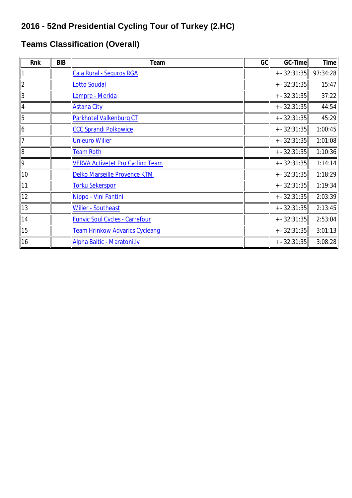#### **Teams Classification (Overall)**

| Rnk            | <b>BIB</b> | Team                                    | GC | <b>GC-Time</b> | <b>Time</b> |
|----------------|------------|-----------------------------------------|----|----------------|-------------|
|                |            | Caja Rural - Seguros RGA                |    | $+ - 32:31:35$ | 97:34:28    |
| $\overline{2}$ |            | <b>Lotto Soudal</b>                     |    | $+ - 32:31:35$ | 15:47       |
| 3              |            | Lampre - Merida                         |    | $+ - 32:31:35$ | 37:22       |
| $\overline{4}$ |            | <b>Astana City</b>                      |    | $+ - 32:31:35$ | 44:54       |
| 5              |            | Parkhotel Valkenburg CT                 |    | $+ - 32:31:35$ | 45:29       |
| $\overline{6}$ |            | <b>CCC Sprandi Polkowice</b>            |    | $+ - 32:31:35$ | 1:00:45     |
| $\overline{7}$ |            | <b>Unieuro Wilier</b>                   |    | $+ - 32:31:35$ | 1:01:08     |
| $\overline{8}$ |            | <b>Team Roth</b>                        |    | $+ - 32:31:35$ | 1:10:36     |
| 9              |            | <b>VERVA ActiveJet Pro Cycling Team</b> |    | $+ - 32:31:35$ | 1:14:14     |
| 10             |            | Delko Marseille Provence KTM            |    | $+ - 32:31:35$ | 1:18:29     |
| 11             |            | <b>Torku Sekerspor</b>                  |    | $+ - 32:31:35$ | 1:19:34     |
| 12             |            | Nippo - Vini Fantini                    |    | $+ - 32:31:35$ | 2:03:39     |
| 13             |            | <b>Wilier - Southeast</b>               |    | $+ - 32:31:35$ | 2:13:45     |
| 14             |            | <b>Funvic Soul Cycles - Carrefour</b>   |    | $+ - 32:31:35$ | 2:53:04     |
| 15             |            | <b>Team Hrinkow Advarics Cycleang</b>   |    | $+ - 32:31:35$ | 3:01:13     |
| 16             |            | Alpha Baltic - Maratoni.lv              |    | $+ - 32:31:35$ | 3:08:28     |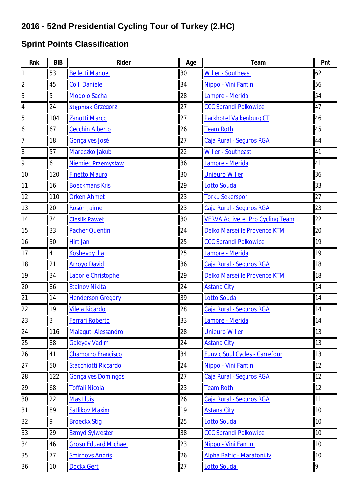#### **Sprint Points Classification**

| Rnk            | <b>BIB</b>     | Rider                       | Age | Team                                    | Pnt |
|----------------|----------------|-----------------------------|-----|-----------------------------------------|-----|
| 1              | 53             | <b>Belletti Manuel</b>      | 30  | <b>Wilier - Southeast</b>               | 62  |
| $\overline{2}$ | 45             | <b>Colli Daniele</b>        | 34  | Nippo - Vini Fantini                    | 56  |
| 3              | 5              | <b>Modolo Sacha</b>         | 28  | Lampre - Merida                         | 54  |
| 4              | 24             | <b>Stepniak Grzegorz</b>    | 27  | <b>CCC Sprandi Polkowice</b>            | 47  |
| 5              | 104            | Zanotti Marco               | 27  | Parkhotel Valkenburg CT                 | 46  |
| 6              | 67             | <b>Cecchin Alberto</b>      | 26  | <b>Team Roth</b>                        | 45  |
| 7              | 18             | Gonçalves José              | 27  | Caja Rural - Seguros RGA                | 44  |
| 8              | 57             | Mareczko Jakub              | 22  | <b>Wilier - Southeast</b>               | 41  |
| 9              | 6              | Niemiec Przemysław          | 36  | Lampre - Merida                         | 41  |
| 10             | 120            | <b>Finetto Mauro</b>        | 30  | <b>Unieuro Wilier</b>                   | 36  |
| 11             | 16             | <b>Boeckmans Kris</b>       | 29  | <b>Lotto Soudal</b>                     | 33  |
| 12             | 110            | Örken Ahmet                 | 23  | <b>Torku Sekerspor</b>                  | 27  |
| 13             | 20             | Rosón Jaime                 | 23  | Caja Rural - Seguros RGA                | 23  |
| 14             | 74             | <b>Cieślik Paweł</b>        | 30  | <b>VERVA ActiveJet Pro Cycling Team</b> | 22  |
| 15             | 33             | <b>Pacher Quentin</b>       | 24  | Delko Marseille Provence KTM            | 20  |
| 16             | 30             | <b>Hirt Jan</b>             | 25  | <b>CCC Sprandi Polkowice</b>            | 19  |
| 17             | $\overline{4}$ | <b>Koshevoy Ilia</b>        | 25  | Lampre - Merida                         | 19  |
| 18             | 21             | <b>Arroyo David</b>         | 36  | Caja Rural - Seguros RGA                | 18  |
| 19             | 34             | Laborie Christophe          | 29  | Delko Marseille Provence KTM            | 18  |
| 20             | 86             | <b>Stalnov Nikita</b>       | 24  | <b>Astana City</b>                      | 14  |
| 21             | 14             | <b>Henderson Gregory</b>    | 39  | Lotto Soudal                            | 14  |
| 22             | 19             | <b>Vilela Ricardo</b>       | 28  | Caja Rural - Seguros RGA                | 14  |
| 23             | $\overline{3}$ | <b>Ferrari Roberto</b>      | 33  | Lampre - Merida                         | 14  |
| 24             | 116            | Malaquti Alessandro         | 28  | <b>Unieuro Wilier</b>                   | 13  |
| 25             | 88             | <b>Galeyev Vadim</b>        | 24  | <b>Astana City</b>                      | 13  |
| 26             | 41             | <b>Chamorro Francisco</b>   | 34  | <b>Funvic Soul Cycles - Carrefour</b>   | 13  |
| 27             | 50             | Stacchiotti Riccardo        | 24  | Nippo - Vini Fantini                    | 12  |
| 28             | 122            | <b>Gonçalves Domingos</b>   | 27  | Caja Rural - Seguros RGA                | 12  |
| 29             | 68             | Toffali Nicola              | 23  | <b>Team Roth</b>                        | 12  |
| 30             | 22             | Mas Lluís                   | 26  | Caja Rural - Seguros RGA                | 11  |
| 31             | 89             | <b>Satlikov Maxim</b>       | 19  | <b>Astana City</b>                      | 10  |
| 32             | 9              | <b>Broeckx Stig</b>         | 25  | <b>Lotto Soudal</b>                     | 10  |
| 33             | 29             | <b>Szmyd Sylwester</b>      | 38  | <b>CCC Sprandi Polkowice</b>            | 10  |
| 34             | 46             | <b>Grosu Eduard Michael</b> | 23  | Nippo - Vini Fantini                    | 10  |
| 35             | 77             | <b>Smirnovs Andris</b>      | 26  | Alpha Baltic - Maratoni.lv              | 10  |
| 36             | 10             | <b>Dockx Gert</b>           | 27  | <b>Lotto Soudal</b>                     | 9   |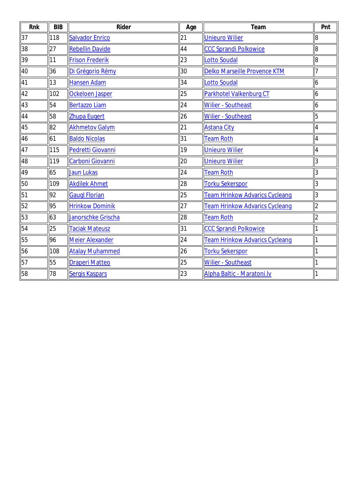| Rnk | <b>BIB</b> | Rider                  | Age | Team                           | Pnt            |
|-----|------------|------------------------|-----|--------------------------------|----------------|
| 37  | 118        | <b>Salvador Enrico</b> | 21  | <b>Unieuro Wilier</b>          | $\overline{8}$ |
| 38  | 27         | <b>Rebellin Davide</b> | 44  | <b>CCC Sprandi Polkowice</b>   | $\ 8$          |
| 39  | 11         | <b>Frison Frederik</b> | 23  | <b>Lotto Soudal</b>            | $\overline{8}$ |
| 40  | 36         | Di Grégorio Rémy       | 30  | Delko Marseille Provence KTM   | 7              |
| 41  | 13         | <b>Hansen Adam</b>     | 34  | Lotto Soudal                   | $\overline{6}$ |
| 42  | 102        | <b>Ockeloen Jasper</b> | 25  | Parkhotel Valkenburg CT        | $\overline{6}$ |
| 43  | 54         | <b>Bertazzo Liam</b>   | 24  | <b>Wilier - Southeast</b>      | $\overline{6}$ |
| 44  | 58         | <b>Zhupa Eugert</b>    | 26  | <b>Wilier - Southeast</b>      | $\sqrt{5}$     |
| 45  | 82         | <b>Akhmetov Galym</b>  | 21  | <b>Astana City</b>             | $\overline{4}$ |
| 46  | 61         | <b>Baldo Nicolas</b>   | 31  | <b>Team Roth</b>               | $\vert 4$      |
| 47  | 115        | Pedretti Giovanni      | 19  | <b>Unieuro Wilier</b>          | $\overline{4}$ |
| 48  | 119        | Carboni Giovanni       | 20  | <b>Unieuro Wilier</b>          | $\overline{3}$ |
| 49  | 65         | <b>Jaun Lukas</b>      | 24  | <b>Team Roth</b>               | 3              |
| 50  | 109        | <b>Akdilek Ahmet</b>   | 28  | <b>Torku Sekerspor</b>         | $\overline{3}$ |
| 51  | 92         | <b>Gaugl Florian</b>   | 25  | Team Hrinkow Advarics Cycleang | 3              |
| 52  | 95         | <b>Hrinkow Dominik</b> | 27  | Team Hrinkow Advarics Cycleang | $\overline{2}$ |
| 53  | 63         | Janorschke Grischa     | 28  | <b>Team Roth</b>               | $\overline{2}$ |
| 54  | 25         | <b>Taciak Mateusz</b>  | 31  | <b>CCC Sprandi Polkowice</b>   | 1              |
| 55  | 96         | Meier Alexander        | 24  | Team Hrinkow Advarics Cycleang | 1              |
| 56  | 108        | <b>Atalay Muhammed</b> | 26  | <b>Torku Sekerspor</b>         | 1              |
| 57  | 55         | <b>Draperi Matteo</b>  | 25  | <b>Wilier - Southeast</b>      | $\overline{1}$ |
| 58  | 78         | Sergis Kaspars         | 23  | Alpha Baltic - Maratoni.lv     | 1              |